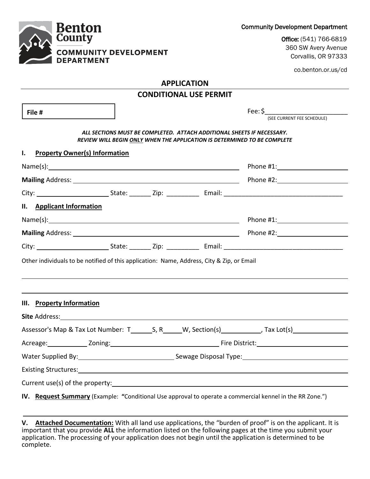Corvallis, OR 97333 **DEPARTMENT APPLICATION CONDITIONAL USE PERMIT** Fee: \$\_\_\_\_\_\_\_\_\_\_\_\_\_\_\_\_\_\_\_\_\_\_\_ **File #** (SEE CURRENT FEE SCHEDULE) *ALL SECTIONS MUST BE COMPLETED. ATTACH ADDITIONAL SHEETS IF NECESSARY. REVIEW WILL BEGIN ONLY WHEN THE APPLICATION IS DETERMINED TO BE COMPLETE* **I. Property Owner(s) Information** Name(s): Name(s): Phone #1: **Mailing** Address: Phone #2: City: State: \_\_\_\_\_\_ Zip: \_\_\_\_\_\_\_\_\_ Email: \_\_\_\_\_\_\_\_\_\_\_\_\_\_\_\_\_\_\_\_\_\_\_\_\_\_\_\_\_\_\_\_\_ **II. Applicant Information** Name(s): Phone #1: **Mailing** Address: <u>Phone #2: Phone #2: Phone #2: Phone #2: Phone #2: Phone #2: Phone #2: Phone #2: Phone #2: Phone #2: Phone #2: Phone #2: Phone #2: Phone #2: Phone #2: Phone #2: Phone #2: Phone #2: Phone #2: Phone #2: Ph</u> City: State: \_\_\_\_\_\_ Zip: \_\_\_\_\_\_\_\_\_ Email: \_\_\_\_\_\_\_\_\_\_\_\_\_\_\_\_\_\_\_\_\_\_\_\_\_\_\_\_\_\_\_\_\_ Other individuals to be notified of this application: Name, Address, City & Zip, or Email **III. Property Information Site** Address: Assessor's Map & Tax Lot Number: T S, R W, Section(s) Tax Lot(s) Acreage: Zoning: Fire District: Water Supplied By:  $\qquad \qquad$ Sewage Disposal Type: Existing Structures: Current use(s) of the property: **IV. Request Summary** (Example: **"**Conditional Use approval to operate a commercial kennel in the RR Zone.")

**V. Attached Documentation:** With all land use applications, the "burden of proof" is on the applicant. It is important that you provide **ALL** the information listed on the following pages at the time you submit your application. The processing of your application does not begin until the application is determined to be complete.

Community Development Department

Office: (541) 766-6819 360 SW Avery Avenue

co.benton.or.us/cd

# **Benton County COMMUNITY DEVELOPMENT**